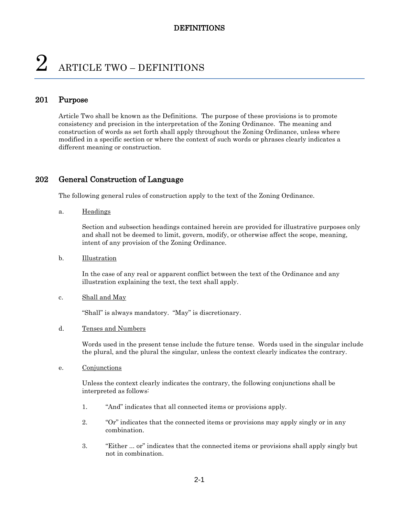# $2$  ARTICLE TWO – DEFINITIONS

#### 201 Purpose

Article Two shall be known as the Definitions. The purpose of these provisions is to promote consistency and precision in the interpretation of the Zoning Ordinance. The meaning and construction of words as set forth shall apply throughout the Zoning Ordinance, unless where modified in a specific section or where the context of such words or phrases clearly indicates a different meaning or construction.

#### 202 General Construction of Language

The following general rules of construction apply to the text of the Zoning Ordinance.

a. Headings

Section and subsection headings contained herein are provided for illustrative purposes only and shall not be deemed to limit, govern, modify, or otherwise affect the scope, meaning, intent of any provision of the Zoning Ordinance.

b. Illustration

In the case of any real or apparent conflict between the text of the Ordinance and any illustration explaining the text, the text shall apply.

#### c. Shall and May

"Shall" is always mandatory. "May" is discretionary.

d. Tenses and Numbers

Words used in the present tense include the future tense. Words used in the singular include the plural, and the plural the singular, unless the context clearly indicates the contrary.

e. Conjunctions

Unless the context clearly indicates the contrary, the following conjunctions shall be interpreted as follows:

- 1. "And" indicates that all connected items or provisions apply.
- 2. "Or" indicates that the connected items or provisions may apply singly or in any combination.
- 3. "Either ... or" indicates that the connected items or provisions shall apply singly but not in combination.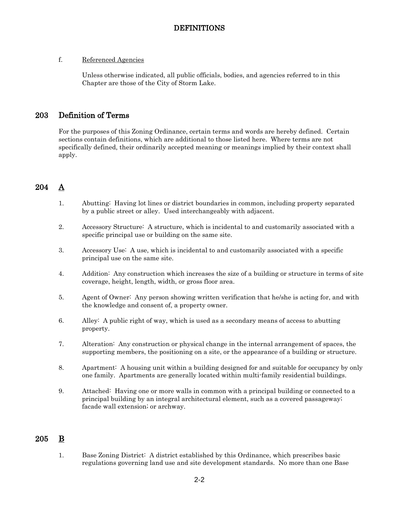#### f. Referenced Agencies

Unless otherwise indicated, all public officials, bodies, and agencies referred to in this Chapter are those of the City of Storm Lake.

#### 203 Definition of Terms

For the purposes of this Zoning Ordinance, certain terms and words are hereby defined. Certain sections contain definitions, which are additional to those listed here. Where terms are not specifically defined, their ordinarily accepted meaning or meanings implied by their context shall apply.

## 204 A

- 1. Abutting: Having lot lines or district boundaries in common, including property separated by a public street or alley. Used interchangeably with adjacent.
- 2. Accessory Structure: A structure, which is incidental to and customarily associated with a specific principal use or building on the same site.
- 3. Accessory Use: A use, which is incidental to and customarily associated with a specific principal use on the same site.
- 4. Addition: Any construction which increases the size of a building or structure in terms of site coverage, height, length, width, or gross floor area.
- 5. Agent of Owner: Any person showing written verification that he/she is acting for, and with the knowledge and consent of, a property owner.
- 6. Alley: A public right of way, which is used as a secondary means of access to abutting property.
- 7. Alteration: Any construction or physical change in the internal arrangement of spaces, the supporting members, the positioning on a site, or the appearance of a building or structure.
- 8. Apartment: A housing unit within a building designed for and suitable for occupancy by only one family. Apartments are generally located within multi-family residential buildings.
- 9. Attached: Having one or more walls in common with a principal building or connected to a principal building by an integral architectural element, such as a covered passageway; facade wall extension; or archway.

## 205 B

1. Base Zoning District: A district established by this Ordinance, which prescribes basic regulations governing land use and site development standards. No more than one Base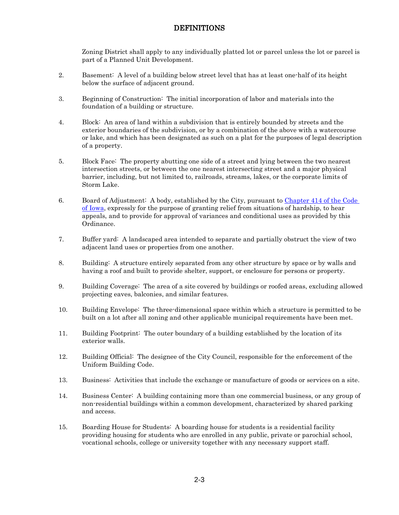Zoning District shall apply to any individually platted lot or parcel unless the lot or parcel is part of a Planned Unit Development.

- 2. Basement: A level of a building below street level that has at least one-half of its height below the surface of adjacent ground.
- 3. Beginning of Construction: The initial incorporation of labor and materials into the foundation of a building or structure.
- 4. Block: An area of land within a subdivision that is entirely bounded by streets and the exterior boundaries of the subdivision, or by a combination of the above with a watercourse or lake, and which has been designated as such on a plat for the purposes of legal description of a property.
- 5. Block Face: The property abutting one side of a street and lying between the two nearest intersection streets, or between the one nearest intersecting street and a major physical barrier, including, but not limited to, railroads, streams, lakes, or the corporate limits of Storm Lake.
- 6. Board of Adjustment: A body, established by the City, pursuant to [Chapter 414 of the Code](http://coolice.legis.iowa.gov/Cool-ICE/default.asp?category=billinfo&service=IowaCode&ga=83&input=414)  [of Iowa,](http://coolice.legis.iowa.gov/Cool-ICE/default.asp?category=billinfo&service=IowaCode&ga=83&input=414) expressly for the purpose of granting relief from situations of hardship, to hear appeals, and to provide for approval of variances and conditional uses as provided by this Ordinance.
- 7. Buffer yard: A landscaped area intended to separate and partially obstruct the view of two adjacent land uses or properties from one another.
- 8. Building: A structure entirely separated from any other structure by space or by walls and having a roof and built to provide shelter, support, or enclosure for persons or property.
- 9. Building Coverage: The area of a site covered by buildings or roofed areas, excluding allowed projecting eaves, balconies, and similar features.
- 10. Building Envelope: The three-dimensional space within which a structure is permitted to be built on a lot after all zoning and other applicable municipal requirements have been met.
- 11. Building Footprint: The outer boundary of a building established by the location of its exterior walls.
- 12. Building Official: The designee of the City Council, responsible for the enforcement of the Uniform Building Code.
- 13. Business: Activities that include the exchange or manufacture of goods or services on a site.
- 14. Business Center: A building containing more than one commercial business, or any group of non-residential buildings within a common development, characterized by shared parking and access.
- 15. Boarding House for Students: A boarding house for students is a residential facility providing housing for students who are enrolled in any public, private or parochial school, vocational schools, college or university together with any necessary support staff.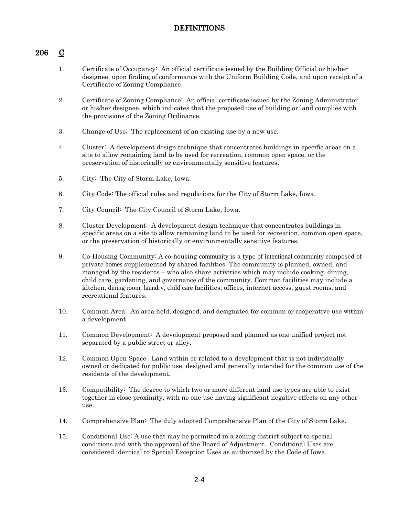## 206 C

- 1. Certificate of Occupancy: An official certificate issued by the Building Official or his/her designee, upon finding of conformance with the Uniform Building Code, and upon receipt of a Certificate of Zoning Compliance.
- 2. Certificate of Zoning Compliance: An official certificate issued by the Zoning Administrator or his/her designee, which indicates that the proposed use of building or land complies with the provisions of the Zoning Ordinance.
- 3. Change of Use: The replacement of an existing use by a new use.
- 4. Cluster: A development design technique that concentrates buildings in specific areas on a site to allow remaining land to be used for recreation, common open space, or the preservation of historically or environmentally sensitive features.
- 5. City: The City of Storm Lake, Iowa.
- 6. City Code: The official rules and regulations for the City of Storm Lake, Iowa.
- 7. City Council: The City Council of Storm Lake, Iowa.
- 8. Cluster Development: A development design technique that concentrates buildings in specific areas on a site to allow remaining land to be used for recreation, common open space, or the preservation of historically or environmentally sensitive features.
- 9. Co-Housing Community: A co-housing community is a type of intentional community composed of private homes supplemented by shared facilities. The community is planned, owned, and managed by the residents – who also share activities which may include cooking, dining, child care, gardening, and governance of the community. Common facilities may include a kitchen, dining room, laundry, child care facilities, offices, internet access, guest rooms, and recreational features.
- 10. Common Area: An area held, designed, and designated for common or cooperative use within a development.
- 11. Common Development: A development proposed and planned as one unified project not separated by a public street or alley.
- 12. Common Open Space: Land within or related to a development that is not individually owned or dedicated for public use, designed and generally intended for the common use of the residents of the development.
- 13. Compatibility: The degree to which two or more different land use types are able to exist together in close proximity, with no one use having significant negative effects on any other use.
- 14. Comprehensive Plan: The duly adopted Comprehensive Plan of the City of Storm Lake.
- 15. Conditional Use: A use that may be permitted in a zoning district subject to special conditions and with the approval of the Board of Adjustment. Conditional Uses are considered identical to Special Exception Uses as authorized by the Code of Iowa.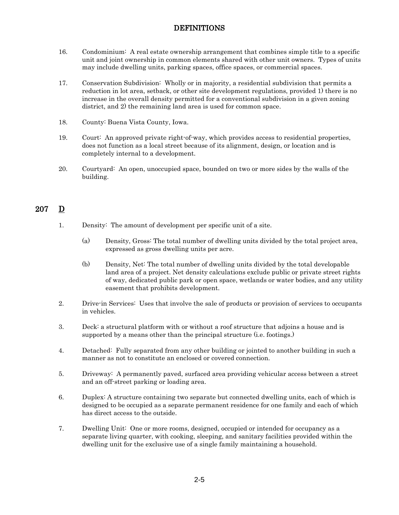- 16. Condominium: A real estate ownership arrangement that combines simple title to a specific unit and joint ownership in common elements shared with other unit owners. Types of units may include dwelling units, parking spaces, office spaces, or commercial spaces.
- 17. Conservation Subdivision: Wholly or in majority, a residential subdivision that permits a reduction in lot area, setback, or other site development regulations, provided 1) there is no increase in the overall density permitted for a conventional subdivision in a given zoning district, and 2) the remaining land area is used for common space.
- 18. County: Buena Vista County, Iowa.
- 19. Court: An approved private right-of-way, which provides access to residential properties, does not function as a local street because of its alignment, design, or location and is completely internal to a development.
- 20. Courtyard: An open, unoccupied space, bounded on two or more sides by the walls of the building.

## 207 D

- 1. Density: The amount of development per specific unit of a site.
	- (a) Density, Gross: The total number of dwelling units divided by the total project area, expressed as gross dwelling units per acre.
	- (b) Density, Net: The total number of dwelling units divided by the total developable land area of a project. Net density calculations exclude public or private street rights of way, dedicated public park or open space, wetlands or water bodies, and any utility easement that prohibits development.
- 2. Drive-in Services: Uses that involve the sale of products or provision of services to occupants in vehicles.
- 3. Deck: a structural platform with or without a roof structure that adjoins a house and is supported by a means other than the principal structure (i.e. footings.)
- 4. Detached: Fully separated from any other building or jointed to another building in such a manner as not to constitute an enclosed or covered connection.
- 5. Driveway: A permanently paved, surfaced area providing vehicular access between a street and an off-street parking or loading area.
- 6. Duplex: A structure containing two separate but connected dwelling units, each of which is designed to be occupied as a separate permanent residence for one family and each of which has direct access to the outside.
- 7. Dwelling Unit: One or more rooms, designed, occupied or intended for occupancy as a separate living quarter, with cooking, sleeping, and sanitary facilities provided within the dwelling unit for the exclusive use of a single family maintaining a household.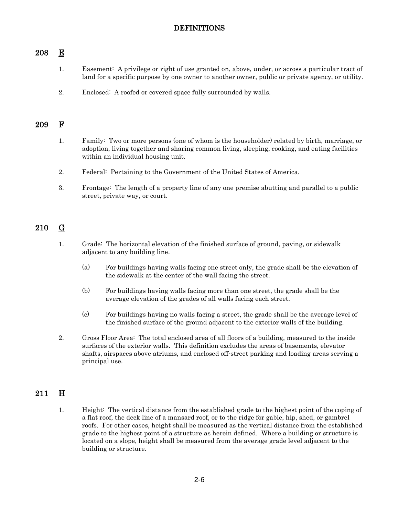#### 208 E

- 1. Easement: A privilege or right of use granted on, above, under, or across a particular tract of land for a specific purpose by one owner to another owner, public or private agency, or utility.
- 2. Enclosed: A roofed or covered space fully surrounded by walls.

#### 209 F

- 1. Family: Two or more persons (one of whom is the householder) related by birth, marriage, or adoption, living together and sharing common living, sleeping, cooking, and eating facilities within an individual housing unit.
- 2. Federal: Pertaining to the Government of the United States of America.
- 3. Frontage: The length of a property line of any one premise abutting and parallel to a public street, private way, or court.

## 210 G

- 1. Grade: The horizontal elevation of the finished surface of ground, paving, or sidewalk adjacent to any building line.
	- (a) For buildings having walls facing one street only, the grade shall be the elevation of the sidewalk at the center of the wall facing the street.
	- (b) For buildings having walls facing more than one street, the grade shall be the average elevation of the grades of all walls facing each street.
	- (c) For buildings having no walls facing a street, the grade shall be the average level of the finished surface of the ground adjacent to the exterior walls of the building.
- 2. Gross Floor Area: The total enclosed area of all floors of a building, measured to the inside surfaces of the exterior walls. This definition excludes the areas of basements, elevator shafts, airspaces above atriums, and enclosed off-street parking and loading areas serving a principal use.

## $211$  H

1. Height: The vertical distance from the established grade to the highest point of the coping of a flat roof, the deck line of a mansard roof, or to the ridge for gable, hip, shed, or gambrel roofs. For other cases, height shall be measured as the vertical distance from the established grade to the highest point of a structure as herein defined. Where a building or structure is located on a slope, height shall be measured from the average grade level adjacent to the building or structure.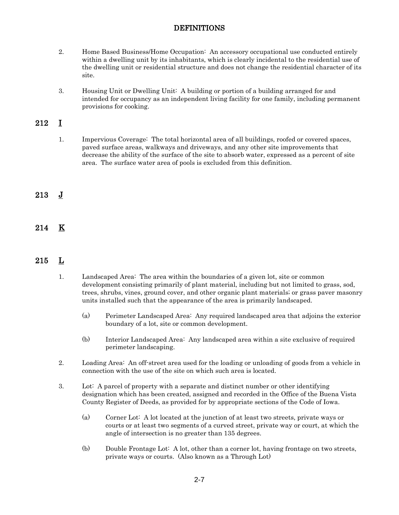- 2. Home Based Business/Home Occupation: An accessory occupational use conducted entirely within a dwelling unit by its inhabitants, which is clearly incidental to the residential use of the dwelling unit or residential structure and does not change the residential character of its site.
- 3. Housing Unit or Dwelling Unit: A building or portion of a building arranged for and intended for occupancy as an independent living facility for one family, including permanent provisions for cooking.

## 212 I

1. Impervious Coverage: The total horizontal area of all buildings, roofed or covered spaces, paved surface areas, walkways and driveways, and any other site improvements that decrease the ability of the surface of the site to absorb water, expressed as a percent of site area. The surface water area of pools is excluded from this definition.

## 213 J

214 K

# 215 L

- 1. Landscaped Area: The area within the boundaries of a given lot, site or common development consisting primarily of plant material, including but not limited to grass, sod, trees, shrubs, vines, ground cover, and other organic plant materials; or grass paver masonry units installed such that the appearance of the area is primarily landscaped.
	- (a) Perimeter Landscaped Area: Any required landscaped area that adjoins the exterior boundary of a lot, site or common development.
	- (b) Interior Landscaped Area: Any landscaped area within a site exclusive of required perimeter landscaping.
- 2. Loading Area: An off-street area used for the loading or unloading of goods from a vehicle in connection with the use of the site on which such area is located.
- 3. Lot: A parcel of property with a separate and distinct number or other identifying designation which has been created, assigned and recorded in the Office of the Buena Vista County Register of Deeds, as provided for by appropriate sections of the Code of Iowa.
	- (a) Corner Lot: A lot located at the junction of at least two streets, private ways or courts or at least two segments of a curved street, private way or court, at which the angle of intersection is no greater than 135 degrees.
	- (b) Double Frontage Lot: A lot, other than a corner lot, having frontage on two streets, private ways or courts. (Also known as a Through Lot)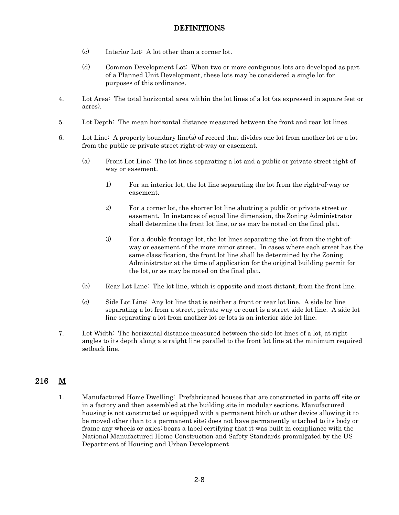- (c) Interior Lot: A lot other than a corner lot.
- (d) Common Development Lot: When two or more contiguous lots are developed as part of a Planned Unit Development, these lots may be considered a single lot for purposes of this ordinance.
- 4. Lot Area: The total horizontal area within the lot lines of a lot (as expressed in square feet or acres).
- 5. Lot Depth: The mean horizontal distance measured between the front and rear lot lines.
- 6. Lot Line: A property boundary line(s) of record that divides one lot from another lot or a lot from the public or private street right-of-way or easement.
	- (a) Front Lot Line: The lot lines separating a lot and a public or private street right-ofway or easement.
		- 1) For an interior lot, the lot line separating the lot from the right-of-way or easement.
		- 2) For a corner lot, the shorter lot line abutting a public or private street or easement. In instances of equal line dimension, the Zoning Administrator shall determine the front lot line, or as may be noted on the final plat.
		- 3) For a double frontage lot, the lot lines separating the lot from the right-ofway or easement of the more minor street. In cases where each street has the same classification, the front lot line shall be determined by the Zoning Administrator at the time of application for the original building permit for the lot, or as may be noted on the final plat.
	- (b) Rear Lot Line: The lot line, which is opposite and most distant, from the front line.
	- (c) Side Lot Line: Any lot line that is neither a front or rear lot line. A side lot line separating a lot from a street, private way or court is a street side lot line. A side lot line separating a lot from another lot or lots is an interior side lot line.
- 7. Lot Width: The horizontal distance measured between the side lot lines of a lot, at right angles to its depth along a straight line parallel to the front lot line at the minimum required setback line.

## 216 M

1. Manufactured Home Dwelling: Prefabricated houses that are constructed in parts off site or in a factory and then assembled at the building site in modular sections. Manufactured housing is not constructed or equipped with a permanent hitch or other device allowing it to be moved other than to a permanent site; does not have permanently attached to its body or frame any wheels or axles; bears a label certifying that it was built in compliance with the National Manufactured Home Construction and Safety Standards promulgated by the US Department of Housing and Urban Development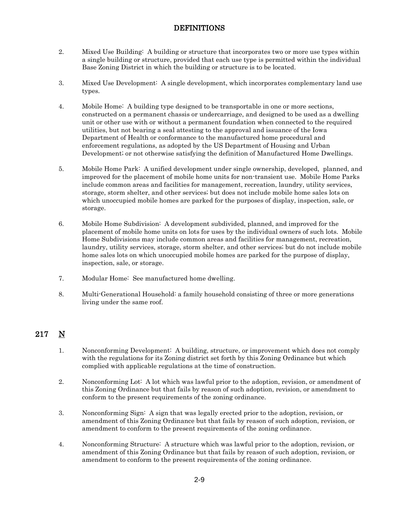- 2. Mixed Use Building: A building or structure that incorporates two or more use types within a single building or structure, provided that each use type is permitted within the individual Base Zoning District in which the building or structure is to be located.
- 3. Mixed Use Development: A single development, which incorporates complementary land use types.
- 4. Mobile Home: A building type designed to be transportable in one or more sections, constructed on a permanent chassis or undercarriage, and designed to be used as a dwelling unit or other use with or without a permanent foundation when connected to the required utilities, but not bearing a seal attesting to the approval and issuance of the Iowa Department of Health or conformance to the manufactured home procedural and enforcement regulations, as adopted by the US Department of Housing and Urban Development; or not otherwise satisfying the definition of Manufactured Home Dwellings.
- 5. Mobile Home Park: A unified development under single ownership, developed, planned, and improved for the placement of mobile home units for non-transient use. Mobile Home Parks include common areas and facilities for management, recreation, laundry, utility services, storage, storm shelter, and other services; but does not include mobile home sales lots on which unoccupied mobile homes are parked for the purposes of display, inspection, sale, or storage.
- 6. Mobile Home Subdivision: A development subdivided, planned, and improved for the placement of mobile home units on lots for uses by the individual owners of such lots. Mobile Home Subdivisions may include common areas and facilities for management, recreation, laundry, utility services, storage, storm shelter, and other services; but do not include mobile home sales lots on which unoccupied mobile homes are parked for the purpose of display, inspection, sale, or storage.
- 7. Modular Home: See manufactured home dwelling.
- 8. Multi-Generational Household: a family household consisting of three or more generations living under the same roof.

# 217 N

- 1. Nonconforming Development: A building, structure, or improvement which does not comply with the regulations for its Zoning district set forth by this Zoning Ordinance but which complied with applicable regulations at the time of construction.
- 2. Nonconforming Lot: A lot which was lawful prior to the adoption, revision, or amendment of this Zoning Ordinance but that fails by reason of such adoption, revision, or amendment to conform to the present requirements of the zoning ordinance.
- 3. Nonconforming Sign: A sign that was legally erected prior to the adoption, revision, or amendment of this Zoning Ordinance but that fails by reason of such adoption, revision, or amendment to conform to the present requirements of the zoning ordinance.
- 4. Nonconforming Structure: A structure which was lawful prior to the adoption, revision, or amendment of this Zoning Ordinance but that fails by reason of such adoption, revision, or amendment to conform to the present requirements of the zoning ordinance.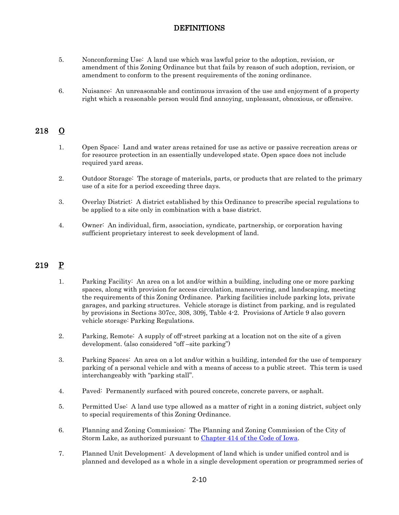- 5. Nonconforming Use: A land use which was lawful prior to the adoption, revision, or amendment of this Zoning Ordinance but that fails by reason of such adoption, revision, or amendment to conform to the present requirements of the zoning ordinance.
- 6. Nuisance: An unreasonable and continuous invasion of the use and enjoyment of a property right which a reasonable person would find annoying, unpleasant, obnoxious, or offensive.

## 218 O

- 1. Open Space: Land and water areas retained for use as active or passive recreation areas or for resource protection in an essentially undeveloped state. Open space does not include required yard areas.
- 2. Outdoor Storage: The storage of materials, parts, or products that are related to the primary use of a site for a period exceeding three days.
- 3. Overlay District: A district established by this Ordinance to prescribe special regulations to be applied to a site only in combination with a base district.
- 4. Owner: An individual, firm, association, syndicate, partnership, or corporation having sufficient proprietary interest to seek development of land.

# 219 P

- 1. Parking Facility: An area on a lot and/or within a building, including one or more parking spaces, along with provision for access circulation, maneuvering, and landscaping, meeting the requirements of this Zoning Ordinance. Parking facilities include parking lots, private garages, and parking structures. Vehicle storage is distinct from parking, and is regulated by provisions in Sections 307cc, 308, 309j, Table 4-2. Provisions of Article 9 also govern vehicle storage: Parking Regulations.
- 2. Parking, Remote: A supply of off-street parking at a location not on the site of a given development. (also considered "off –site parking")
- 3. Parking Spaces: An area on a lot and/or within a building, intended for the use of temporary parking of a personal vehicle and with a means of access to a public street. This term is used interchangeably with "parking stall".
- 4. Paved: Permanently surfaced with poured concrete, concrete pavers, or asphalt.
- 5. Permitted Use: A land use type allowed as a matter of right in a zoning district, subject only to special requirements of this Zoning Ordinance.
- 6. Planning and Zoning Commission: The Planning and Zoning Commission of the City of Storm Lake, as authorized pursuant to [Chapter 414 of the Code of Iowa.](http://coolice.legis.iowa.gov/Cool-ICE/default.asp?category=billinfo&service=IowaCode&ga=83&input=414)
- 7. Planned Unit Development: A development of land which is under unified control and is planned and developed as a whole in a single development operation or programmed series of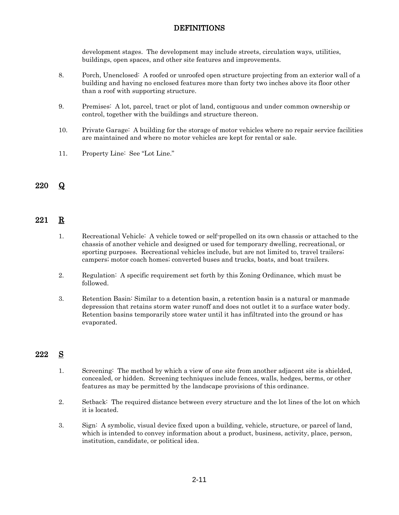development stages. The development may include streets, circulation ways, utilities, buildings, open spaces, and other site features and improvements.

- 8. Porch, Unenclosed: A roofed or unroofed open structure projecting from an exterior wall of a building and having no enclosed features more than forty two inches above its floor other than a roof with supporting structure.
- 9. Premises: A lot, parcel, tract or plot of land, contiguous and under common ownership or control, together with the buildings and structure thereon.
- 10. Private Garage: A building for the storage of motor vehicles where no repair service facilities are maintained and where no motor vehicles are kept for rental or sale.
- 11. Property Line: See "Lot Line."

## 220 Q

## 221 R

- 1. Recreational Vehicle: A vehicle towed or self-propelled on its own chassis or attached to the chassis of another vehicle and designed or used for temporary dwelling, recreational, or sporting purposes. Recreational vehicles include, but are not limited to, travel trailers; campers; motor coach homes; converted buses and trucks, boats, and boat trailers.
- 2. Regulation: A specific requirement set forth by this Zoning Ordinance, which must be followed.
- 3. Retention Basin: Similar to a detention basin, a retention basin is a natural or manmade depression that retains storm water runoff and does not outlet it to a surface water body. Retention basins temporarily store water until it has infiltrated into the ground or has evaporated.

## 222 S

- 1. Screening: The method by which a view of one site from another adjacent site is shielded, concealed, or hidden. Screening techniques include fences, walls, hedges, berms, or other features as may be permitted by the landscape provisions of this ordinance.
- 2. Setback: The required distance between every structure and the lot lines of the lot on which it is located.
- 3. Sign: A symbolic, visual device fixed upon a building, vehicle, structure, or parcel of land, which is intended to convey information about a product, business, activity, place, person, institution, candidate, or political idea.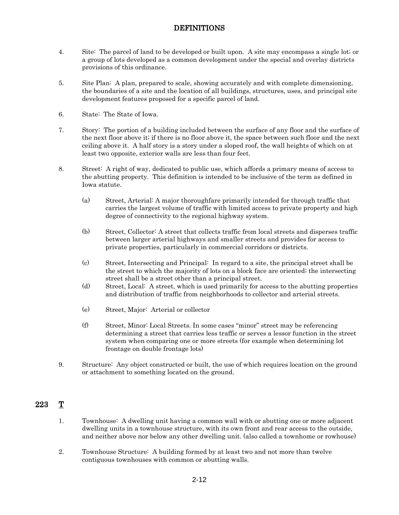- 4. Site: The parcel of land to be developed or built upon. A site may encompass a single lot; or a group of lots developed as a common development under the special and overlay districts provisions of this ordinance.
- 5. Site Plan: A plan, prepared to scale, showing accurately and with complete dimensioning, the boundaries of a site and the location of all buildings, structures, uses, and principal site development features proposed for a specific parcel of land.
- 6. State: The State of Iowa.
- 7. Story: The portion of a building included between the surface of any floor and the surface of the next floor above it; if there is no floor above it, the space between such floor and the next ceiling above it. A half story is a story under a sloped roof, the wall heights of which on at least two opposite, exterior walls are less than four feet.
- 8. Street: A right of way, dedicated to public use, which affords a primary means of access to the abutting property. This definition is intended to be inclusive of the term as defined in Iowa statute.
	- (a) Street, Arterial: A major thoroughfare primarily intended for through traffic that carries the largest volume of traffic with limited access to private property and high degree of connectivity to the regional highway system.
	- (b) Street, Collector: A street that collects traffic from local streets and disperses traffic between larger arterial highways and smaller streets and provides for access to private properties, particularly in commercial corridors or districts.
	- (c) Street, Intersecting and Principal: In regard to a site, the principal street shall be the street to which the majority of lots on a block face are oriented; the intersecting street shall be a street other than a principal street.
	- (d) Street, Local: A street, which is used primarily for access to the abutting properties and distribution of traffic from neighborhoods to collector and arterial streets.
	- (e) Street, Major: Arterial or collector
	- (f) Street, Minor: Local Streets. In some cases "minor" street may be referencing determining a street that carries less traffic or serves a lessor function in the street system when comparing one or more streets (for example when determining lot frontage on double frontage lots)
- 9. Structure: Any object constructed or built, the use of which requires location on the ground or attachment to something located on the ground.

## 223 T

- 1. Townhouse: A dwelling unit having a common wall with or abutting one or more adjacent dwelling units in a townhouse structure, with its own front and rear access to the outside, and neither above nor below any other dwelling unit. (also called a townhome or rowhouse)
- 2. Townhouse Structure: A building formed by at least two and not more than twelve contiguous townhouses with common or abutting walls.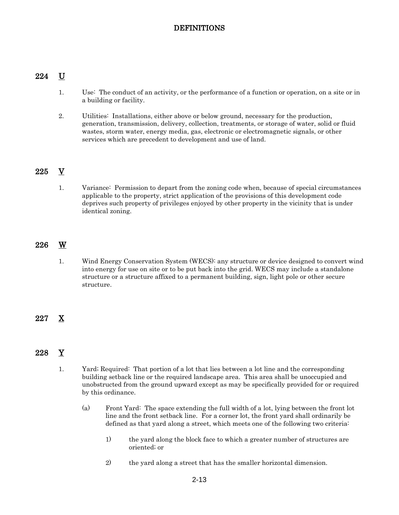## 224 U

- 1. Use: The conduct of an activity, or the performance of a function or operation, on a site or in a building or facility.
- 2. Utilities: Installations, either above or below ground, necessary for the production, generation, transmission, delivery, collection, treatments, or storage of water, solid or fluid wastes, storm water, energy media, gas, electronic or electromagnetic signals, or other services which are precedent to development and use of land.

## 225 V

1. Variance: Permission to depart from the zoning code when, because of special circumstances applicable to the property, strict application of the provisions of this development code deprives such property of privileges enjoyed by other property in the vicinity that is under identical zoning.

## 226 W

1. Wind Energy Conservation System (WECS): any structure or device designed to convert wind into energy for use on site or to be put back into the grid. WECS may include a standalone structure or a structure affixed to a permanent building, sign, light pole or other secure structure.

## 227 X

## 228 Y

- 1. Yard; Required: That portion of a lot that lies between a lot line and the corresponding building setback line or the required landscape area. This area shall be unoccupied and unobstructed from the ground upward except as may be specifically provided for or required by this ordinance.
	- (a) Front Yard: The space extending the full width of a lot, lying between the front lot line and the front setback line. For a corner lot, the front yard shall ordinarily be defined as that yard along a street, which meets one of the following two criteria:
		- 1) the yard along the block face to which a greater number of structures are oriented; or
		- 2) the yard along a street that has the smaller horizontal dimension.